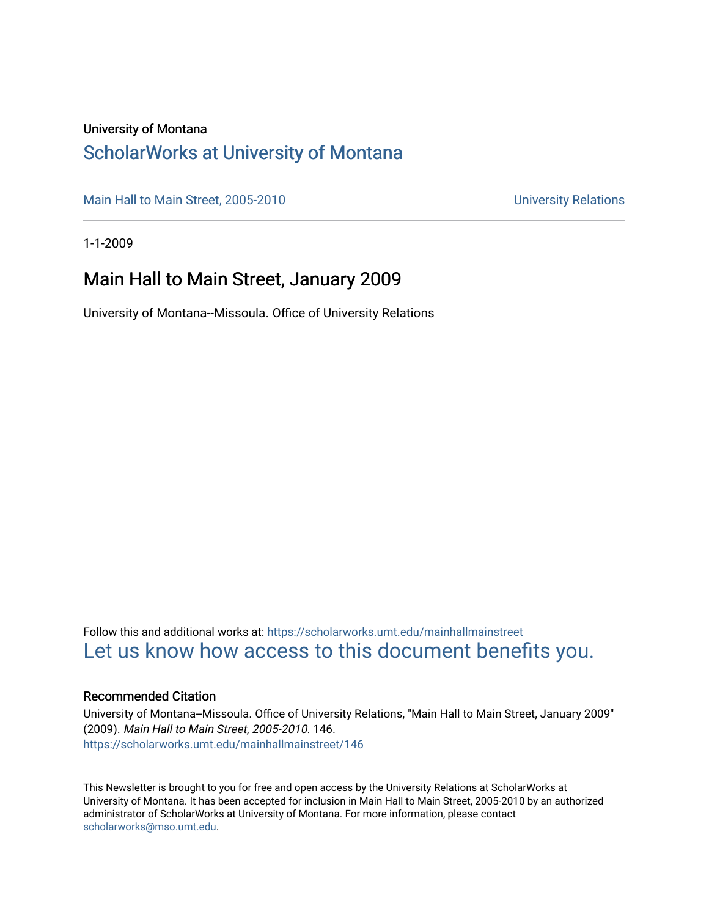### University of Montana

### [ScholarWorks at University of Montana](https://scholarworks.umt.edu/)

[Main Hall to Main Street, 2005-2010](https://scholarworks.umt.edu/mainhallmainstreet) Main Hall to Main Street, 2005-2010

1-1-2009

### Main Hall to Main Street, January 2009

University of Montana--Missoula. Office of University Relations

Follow this and additional works at: [https://scholarworks.umt.edu/mainhallmainstreet](https://scholarworks.umt.edu/mainhallmainstreet?utm_source=scholarworks.umt.edu%2Fmainhallmainstreet%2F146&utm_medium=PDF&utm_campaign=PDFCoverPages) [Let us know how access to this document benefits you.](https://goo.gl/forms/s2rGfXOLzz71qgsB2) 

#### Recommended Citation

University of Montana--Missoula. Office of University Relations, "Main Hall to Main Street, January 2009" (2009). Main Hall to Main Street, 2005-2010. 146. [https://scholarworks.umt.edu/mainhallmainstreet/146](https://scholarworks.umt.edu/mainhallmainstreet/146?utm_source=scholarworks.umt.edu%2Fmainhallmainstreet%2F146&utm_medium=PDF&utm_campaign=PDFCoverPages)

This Newsletter is brought to you for free and open access by the University Relations at ScholarWorks at University of Montana. It has been accepted for inclusion in Main Hall to Main Street, 2005-2010 by an authorized administrator of ScholarWorks at University of Montana. For more information, please contact [scholarworks@mso.umt.edu.](mailto:scholarworks@mso.umt.edu)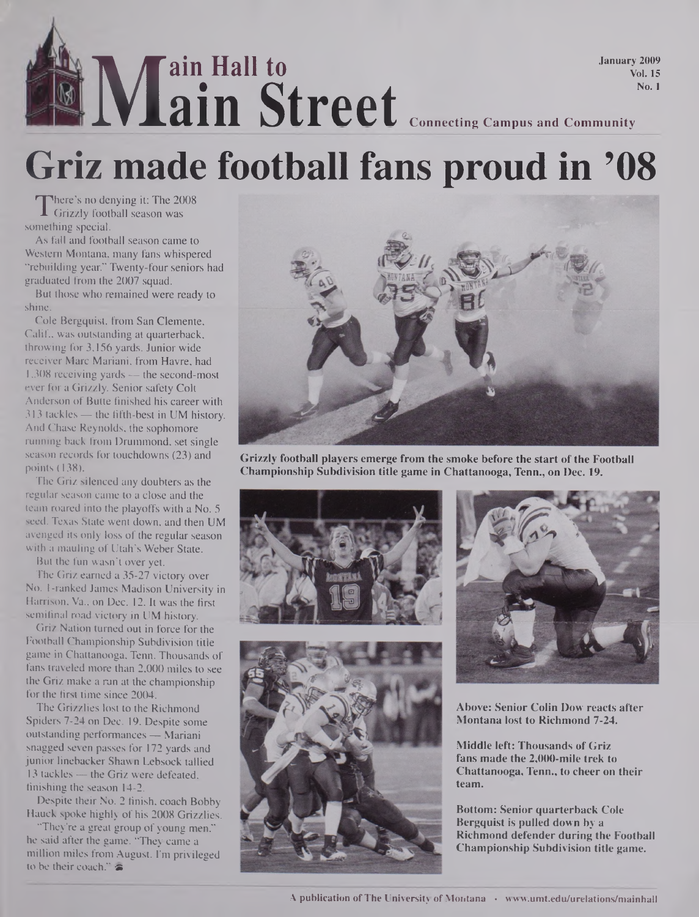## **M ain Hall to ain Street Connecting Campus and Community January 2009 Vol. 15 No. 1**

# **Griz made football fans proud in '08**

There s no denying it: The 20<br>Grizzly football season was<br>mething special There's no denying it: The 2008 something special.

As fall and football season came to Western Montana, many fans whispered "rebuilding year." Twenty-four seniors had graduated from the 2007 squad.

But those who remained were ready to shine.

Cole Bergquist, from San Clemente, Calif, was outstanding at quarterback, throwing for 3,156 yards. Junior wide receiver Marc Mariani, from Havre, had 1,308 receiving yards — the second-most ever for a Grizzly. Senior safety Colt Anderson of Butte finished his career with 313 tackles — the fifth-best in UM history. And Chase Reynolds, the sophomore running back from Drummond, set single season records for touchdowns (23) and points (138).

The Griz silenced any doubters as the regular season came to a close and the team roared into the playoffs with a No. 5 seed. Texas State went down, and then UM avenged its only loss of the regular season with a mauling of Utah's Weber State.

But the fun wasn't over yet.

The Griz earned a 35-27 victory over No. 1-ranked James Madison University in Harrison, Va., on Dec. 12. It was the first semifinal road victory in UM history.

Griz Nation turned out in force for the Football Championship Subdivision title game in Chattanooga, Tenn. Thousands of fans traveled more than 2,000 miles to see the Griz make a ran at the championship for the first time since 2004.

The Grizzlies lost to the Richmond Spiders 7-24 on Dec. 19. Despite some outstanding performances — Mariani snagged seven passes for 172 yards and junior linebacker Shawn Lebsock tallied 13 tackles — the Griz were defeated, finishing the season 14-2.

Despite their No. 2 finish, coach Bobby Hauck spoke highly of his 2008 Grizzlies.

"They're a great group of young men," he said after the game. "They came a million miles from August. I'm privileged to be their coach." $\approx$ 



**Grizzly football players emerge from the smoke before the start ofthe Football Championship Subdivision title game in Chattanooga, Tenn., on Dec. 19.**







**Above: Senior Colin Dow reacts after Montana lost to Richmond 7-24.**

**Middle left: Thousands of Griz fans made the 2,000-mile trek to Chattanooga, Tenn., to cheer on their team.**

**Bottom: Senior quarterback Cole Bergquist is pulled down by a Richmond defender during the Football Championship Subdivision title game.**